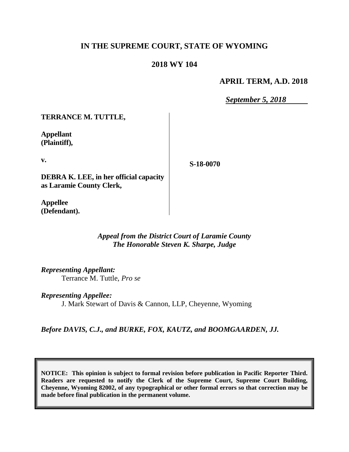# **IN THE SUPREME COURT, STATE OF WYOMING**

## **2018 WY 104**

## **APRIL TERM, A.D. 2018**

*September 5, 2018*

**TERRANCE M. TUTTLE,**

**Appellant (Plaintiff),**

**v.**

**S-18-0070**

**DEBRA K. LEE, in her official capacity as Laramie County Clerk,**

**Appellee (Defendant).**

> *Appeal from the District Court of Laramie County The Honorable Steven K. Sharpe, Judge*

*Representing Appellant:*

Terrance M. Tuttle, *Pro se*

*Representing Appellee:* J. Mark Stewart of Davis & Cannon, LLP, Cheyenne, Wyoming

*Before DAVIS, C.J., and BURKE, FOX, KAUTZ, and BOOMGAARDEN, JJ.*

**NOTICE: This opinion is subject to formal revision before publication in Pacific Reporter Third. Readers are requested to notify the Clerk of the Supreme Court, Supreme Court Building, Cheyenne, Wyoming 82002, of any typographical or other formal errors so that correction may be made before final publication in the permanent volume.**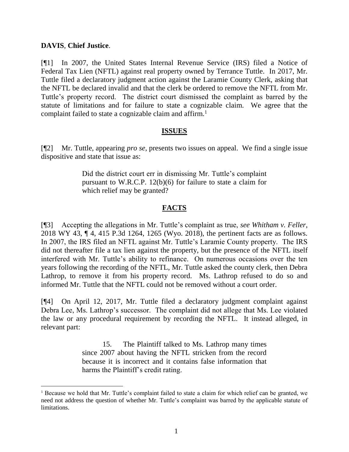### **DAVIS**, **Chief Justice**.

[¶1] In 2007, the United States Internal Revenue Service (IRS) filed a Notice of Federal Tax Lien (NFTL) against real property owned by Terrance Tuttle. In 2017, Mr. Tuttle filed a declaratory judgment action against the Laramie County Clerk, asking that the NFTL be declared invalid and that the clerk be ordered to remove the NFTL from Mr. Tuttle's property record. The district court dismissed the complaint as barred by the statute of limitations and for failure to state a cognizable claim. We agree that the complaint failed to state a cognizable claim and affirm.<sup>1</sup>

## **ISSUES**

[¶2] Mr. Tuttle, appearing *pro se*, presents two issues on appeal. We find a single issue dispositive and state that issue as:

> Did the district court err in dismissing Mr. Tuttle's complaint pursuant to W.R.C.P. 12(b)(6) for failure to state a claim for which relief may be granted?

## **FACTS**

[¶3] Accepting the allegations in Mr. Tuttle's complaint as true, *see Whitham v. Feller*, 2018 WY 43, ¶ 4, 415 P.3d 1264, 1265 (Wyo. 2018), the pertinent facts are as follows. In 2007, the IRS filed an NFTL against Mr. Tuttle's Laramie County property. The IRS did not thereafter file a tax lien against the property, but the presence of the NFTL itself interfered with Mr. Tuttle's ability to refinance. On numerous occasions over the ten years following the recording of the NFTL, Mr. Tuttle asked the county clerk, then Debra Lathrop, to remove it from his property record. Ms. Lathrop refused to do so and informed Mr. Tuttle that the NFTL could not be removed without a court order.

[¶4] On April 12, 2017, Mr. Tuttle filed a declaratory judgment complaint against Debra Lee, Ms. Lathrop's successor. The complaint did not allege that Ms. Lee violated the law or any procedural requirement by recording the NFTL. It instead alleged, in relevant part:

> 15. The Plaintiff talked to Ms. Lathrop many times since 2007 about having the NFTL stricken from the record because it is incorrect and it contains false information that harms the Plaintiff's credit rating.

<sup>1</sup> Because we hold that Mr. Tuttle's complaint failed to state a claim for which relief can be granted, we need not address the question of whether Mr. Tuttle's complaint was barred by the applicable statute of limitations.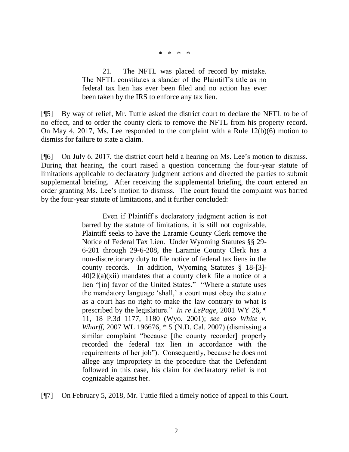\* \* \* \*

21. The NFTL was placed of record by mistake. The NFTL constitutes a slander of the Plaintiff's title as no federal tax lien has ever been filed and no action has ever been taken by the IRS to enforce any tax lien.

[¶5] By way of relief, Mr. Tuttle asked the district court to declare the NFTL to be of no effect, and to order the county clerk to remove the NFTL from his property record. On May 4, 2017, Ms. Lee responded to the complaint with a Rule 12(b)(6) motion to dismiss for failure to state a claim.

[¶6] On July 6, 2017, the district court held a hearing on Ms. Lee's motion to dismiss. During that hearing, the court raised a question concerning the four-year statute of limitations applicable to declaratory judgment actions and directed the parties to submit supplemental briefing. After receiving the supplemental briefing, the court entered an order granting Ms. Lee's motion to dismiss. The court found the complaint was barred by the four-year statute of limitations, and it further concluded:

> Even if Plaintiff's declaratory judgment action is not barred by the statute of limitations, it is still not cognizable. Plaintiff seeks to have the Laramie County Clerk remove the Notice of Federal Tax Lien. Under Wyoming Statutes §§ 29- 6-201 through 29-6-208, the Laramie County Clerk has a non-discretionary duty to file notice of federal tax liens in the county records. In addition, Wyoming Statutes § 18-[3]-  $40[2](a)(xii)$  mandates that a county clerk file a notice of a lien "[in] favor of the United States." "Where a statute uses the mandatory language 'shall,' a court must obey the statute as a court has no right to make the law contrary to what is prescribed by the legislature." *In re LePage*, 2001 WY 26, ¶ 11, 18 P.3d 1177, 1180 (Wyo. 2001); *see also White v. Wharff*, 2007 WL 196676, \* 5 (N.D. Cal. 2007) (dismissing a similar complaint "because [the county recorder] properly recorded the federal tax lien in accordance with the requirements of her job"). Consequently, because he does not allege any impropriety in the procedure that the Defendant followed in this case, his claim for declaratory relief is not cognizable against her.

[¶7] On February 5, 2018, Mr. Tuttle filed a timely notice of appeal to this Court.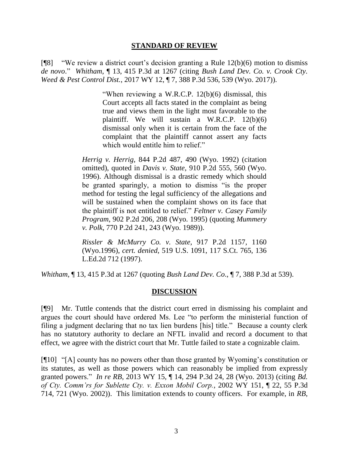#### **STANDARD OF REVIEW**

[ $[$ [8] "We review a district court's decision granting a [Rule 12\(b\)\(6\)](http://www.westlaw.com/Link/Document/FullText?findType=L&pubNum=1008760&cite=WYRRCPR12&originatingDoc=Ia72eb9a04cbc11e89d46ed79fb792237&refType=LQ&originationContext=document&vr=3.0&rs=cblt1.0&transitionType=DocumentItem&contextData=(sc.Search)) motion to dismiss *de novo*." *Whitham*, ¶ 13, 415 P.3d at 1267 (citing *[Bush Land Dev. Co. v. Crook Cty.](http://www.westlaw.com/Link/Document/FullText?findType=Y&serNum=2040882551&pubNum=0004645&originatingDoc=Ia72eb9a04cbc11e89d46ed79fb792237&refType=RP&fi=co_pp_sp_4645_539&originationContext=document&vr=3.0&rs=cblt1.0&transitionType=DocumentItem&contextData=(sc.Search)#co_pp_sp_4645_539) Weed & Pest Control Dist.*[, 2017 WY 12, ¶ 7, 388 P.3d 536, 539 \(Wyo. 2017\)\)](http://www.westlaw.com/Link/Document/FullText?findType=Y&serNum=2040882551&pubNum=0004645&originatingDoc=Ia72eb9a04cbc11e89d46ed79fb792237&refType=RP&fi=co_pp_sp_4645_539&originationContext=document&vr=3.0&rs=cblt1.0&transitionType=DocumentItem&contextData=(sc.Search)#co_pp_sp_4645_539).

> "When reviewing a [W.R.C.P. 12\(b\)\(6\)](http://www.westlaw.com/Link/Document/FullText?findType=L&pubNum=1008760&cite=WYRRCPR12&originatingDoc=Ia72eb9a04cbc11e89d46ed79fb792237&refType=LQ&originationContext=document&vr=3.0&rs=cblt1.0&transitionType=DocumentItem&contextData=(sc.Search)) dismissal, this Court accepts all facts stated in the complaint as being true and views them in the light most favorable to the plaintiff. We will sustain a [W.R.C.P. 12\(b\)\(6\)](http://www.westlaw.com/Link/Document/FullText?findType=L&pubNum=1008760&cite=WYRRCPR12&originatingDoc=Ia72eb9a04cbc11e89d46ed79fb792237&refType=LQ&originationContext=document&vr=3.0&rs=cblt1.0&transitionType=DocumentItem&contextData=(sc.Search)) dismissal only when it is certain from the face of the complaint that the plaintiff cannot assert any facts which would entitle him to relief."

*Herrig v. Herrig*[, 844 P.2d 487, 490 \(Wyo.](http://www.westlaw.com/Link/Document/FullText?findType=Y&serNum=1992221510&pubNum=0000661&originatingDoc=Ia72eb9a04cbc11e89d46ed79fb792237&refType=RP&fi=co_pp_sp_661_490&originationContext=document&vr=3.0&rs=cblt1.0&transitionType=DocumentItem&contextData=(sc.Search)#co_pp_sp_661_490) 1992) (citation omitted), quoted in *Davis v. State*[, 910 P.2d 555, 560 \(Wyo.](http://www.westlaw.com/Link/Document/FullText?findType=Y&serNum=1996026767&pubNum=0000661&originatingDoc=Ia72eb9a04cbc11e89d46ed79fb792237&refType=RP&fi=co_pp_sp_661_560&originationContext=document&vr=3.0&rs=cblt1.0&transitionType=DocumentItem&contextData=(sc.Search)#co_pp_sp_661_560) [1996\).](http://www.westlaw.com/Link/Document/FullText?findType=Y&serNum=1996026767&pubNum=0000661&originatingDoc=Ia72eb9a04cbc11e89d46ed79fb792237&refType=RP&fi=co_pp_sp_661_560&originationContext=document&vr=3.0&rs=cblt1.0&transitionType=DocumentItem&contextData=(sc.Search)#co_pp_sp_661_560) Although dismissal is a drastic remedy which should be granted sparingly, a motion to dismiss "is the proper method for testing the legal sufficiency of the allegations and will be sustained when the complaint shows on its face that the plaintiff is not entitled to relief." *[Feltner v. Casey Family](http://www.westlaw.com/Link/Document/FullText?findType=Y&serNum=1995182863&pubNum=0000661&originatingDoc=Ia72eb9a04cbc11e89d46ed79fb792237&refType=RP&fi=co_pp_sp_661_208&originationContext=document&vr=3.0&rs=cblt1.0&transitionType=DocumentItem&contextData=(sc.Search)#co_pp_sp_661_208)  Program*[, 902 P.2d 206, 208 \(Wyo.](http://www.westlaw.com/Link/Document/FullText?findType=Y&serNum=1995182863&pubNum=0000661&originatingDoc=Ia72eb9a04cbc11e89d46ed79fb792237&refType=RP&fi=co_pp_sp_661_208&originationContext=document&vr=3.0&rs=cblt1.0&transitionType=DocumentItem&contextData=(sc.Search)#co_pp_sp_661_208) 1995) (quoting *[Mummery](http://www.westlaw.com/Link/Document/FullText?findType=Y&serNum=1989036713&pubNum=0000661&originatingDoc=Ia72eb9a04cbc11e89d46ed79fb792237&refType=RP&fi=co_pp_sp_661_243&originationContext=document&vr=3.0&rs=cblt1.0&transitionType=DocumentItem&contextData=(sc.Search)#co_pp_sp_661_243) v. Polk*[, 770 P.2d 241, 243 \(Wyo.](http://www.westlaw.com/Link/Document/FullText?findType=Y&serNum=1989036713&pubNum=0000661&originatingDoc=Ia72eb9a04cbc11e89d46ed79fb792237&refType=RP&fi=co_pp_sp_661_243&originationContext=document&vr=3.0&rs=cblt1.0&transitionType=DocumentItem&contextData=(sc.Search)#co_pp_sp_661_243) 1989)).

*[Rissler & McMurry Co. v. State](http://www.westlaw.com/Link/Document/FullText?findType=Y&serNum=1996128477&pubNum=0000661&originatingDoc=Ia72eb9a04cbc11e89d46ed79fb792237&refType=RP&fi=co_pp_sp_661_1160&originationContext=document&vr=3.0&rs=cblt1.0&transitionType=DocumentItem&contextData=(sc.Search)#co_pp_sp_661_1160)*, 917 P.2d 1157, 1160 [\(Wyo.1996\),](http://www.westlaw.com/Link/Document/FullText?findType=Y&serNum=1996128477&pubNum=0000661&originatingDoc=Ia72eb9a04cbc11e89d46ed79fb792237&refType=RP&fi=co_pp_sp_661_1160&originationContext=document&vr=3.0&rs=cblt1.0&transitionType=DocumentItem&contextData=(sc.Search)#co_pp_sp_661_1160) *cert. denied*, [519 U.S. 1091, 117 S.Ct. 765, 136](http://www.westlaw.com/Link/Document/FullText?findType=Y&serNum=1996238507&pubNum=0000708&originatingDoc=Ia72eb9a04cbc11e89d46ed79fb792237&refType=RP&originationContext=document&vr=3.0&rs=cblt1.0&transitionType=DocumentItem&contextData=(sc.Search))  [L.Ed.2d 712 \(1997\).](http://www.westlaw.com/Link/Document/FullText?findType=Y&serNum=1996238507&pubNum=0000708&originatingDoc=Ia72eb9a04cbc11e89d46ed79fb792237&refType=RP&originationContext=document&vr=3.0&rs=cblt1.0&transitionType=DocumentItem&contextData=(sc.Search))

*Whitham*, ¶ 13, 415 P.3d at 1267 (quoting *Bush Land Dev. Co*[., ¶ 7, 388 P.3d at 539\)](http://www.westlaw.com/Link/Document/FullText?findType=Y&serNum=2040882551&pubNum=0004645&originatingDoc=Ia72eb9a04cbc11e89d46ed79fb792237&refType=RP&fi=co_pp_sp_4645_539&originationContext=document&vr=3.0&rs=cblt1.0&transitionType=DocumentItem&contextData=(sc.Search)#co_pp_sp_4645_539).

### **DISCUSSION**

[¶9] Mr. Tuttle contends that the district court erred in dismissing his complaint and argues the court should have ordered Ms. Lee "to perform the ministerial function of filing a judgment declaring that no tax lien burdens [his] title." Because a county clerk has no statutory authority to declare an NFTL invalid and record a document to that effect, we agree with the district court that Mr. Tuttle failed to state a cognizable claim.

[¶10] "[A] county has no powers other than those granted by Wyoming's constitution or its statutes, as well as those powers which can reasonably be implied from expressly granted powers." *In re RB*, 2013 WY 15, ¶ 14, 294 P.3d 24, 28 (Wyo. 2013) (citing *[Bd.](http://www.westlaw.com/Link/Document/FullText?findType=Y&serNum=2002639957&pubNum=0004645&originatingDoc=Ie3ceebcb708b11e2900d8cbbe5df030a&refType=RP&fi=co_pp_sp_4645_721&originationContext=document&vr=3.0&rs=cblt1.0&transitionType=DocumentItem&contextData=(sc.Keycite)#co_pp_sp_4645_721)  [of Cty. Comm'rs for Sublette Cty. v. Exxon Mobil Corp.](http://www.westlaw.com/Link/Document/FullText?findType=Y&serNum=2002639957&pubNum=0004645&originatingDoc=Ie3ceebcb708b11e2900d8cbbe5df030a&refType=RP&fi=co_pp_sp_4645_721&originationContext=document&vr=3.0&rs=cblt1.0&transitionType=DocumentItem&contextData=(sc.Keycite)#co_pp_sp_4645_721)*, 2002 WY 151, ¶ 22, 55 P.3d [714, 721 \(Wyo.](http://www.westlaw.com/Link/Document/FullText?findType=Y&serNum=2002639957&pubNum=0004645&originatingDoc=Ie3ceebcb708b11e2900d8cbbe5df030a&refType=RP&fi=co_pp_sp_4645_721&originationContext=document&vr=3.0&rs=cblt1.0&transitionType=DocumentItem&contextData=(sc.Keycite)#co_pp_sp_4645_721) 2002)). This limitation extends to county officers. For example, in *RB*,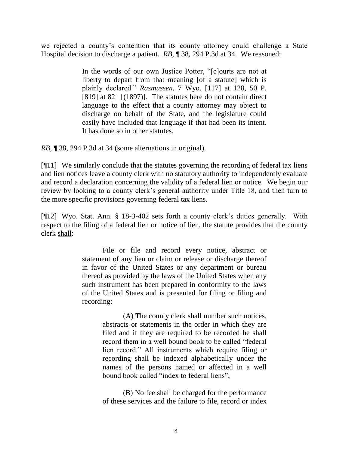we rejected a county's contention that its county attorney could challenge a State Hospital decision to discharge a patient. *RB*, ¶ 38, 294 P.3d at 34. We reasoned:

> In the words of our own Justice Potter, "[c]ourts are not at liberty to depart from that meaning [of a statute] which is plainly declared." *Rasmussen*, 7 Wyo. [117] [at 128, 50 P.](http://www.westlaw.com/Link/Document/FullText?findType=Y&serNum=1897012216&pubNum=660&originatingDoc=Ie3ceebcb708b11e2900d8cbbe5df030a&refType=RP&fi=co_pp_sp_660_821&originationContext=document&vr=3.0&rs=cblt1.0&transitionType=DocumentItem&contextData=(sc.Keycite)#co_pp_sp_660_821)  [\[819\] at 821](http://www.westlaw.com/Link/Document/FullText?findType=Y&serNum=1897012216&pubNum=660&originatingDoc=Ie3ceebcb708b11e2900d8cbbe5df030a&refType=RP&fi=co_pp_sp_660_821&originationContext=document&vr=3.0&rs=cblt1.0&transitionType=DocumentItem&contextData=(sc.Keycite)#co_pp_sp_660_821) [(1897)]. The statutes here do not contain direct language to the effect that a county attorney may object to discharge on behalf of the State, and the legislature could easily have included that language if that had been its intent. It has done so in other statutes.

*RB*, ¶ 38, 294 P.3d at 34 (some alternations in original).

[¶11] We similarly conclude that the statutes governing the recording of federal tax liens and lien notices leave a county clerk with no statutory authority to independently evaluate and record a declaration concerning the validity of a federal lien or notice. We begin our review by looking to a county clerk's general authority under Title 18, and then turn to the more specific provisions governing federal tax liens.

[¶12] Wyo. Stat. Ann. § 18-3-402 sets forth a county clerk's duties generally. With respect to the filing of a federal lien or notice of lien, the statute provides that the county clerk shall:

> File or file and record every notice, abstract or statement of any lien or claim or release or discharge thereof in favor of the United States or any department or bureau thereof as provided by the laws of the United States when any such instrument has been prepared in conformity to the laws of the United States and is presented for filing or filing and recording:

> > (A) The county clerk shall number such notices, abstracts or statements in the order in which they are filed and if they are required to be recorded he shall record them in a well bound book to be called "federal lien record." All instruments which require filing or recording shall be indexed alphabetically under the names of the persons named or affected in a well bound book called "index to federal liens";

(B) No fee shall be charged for the performance of these services and the failure to file, record or index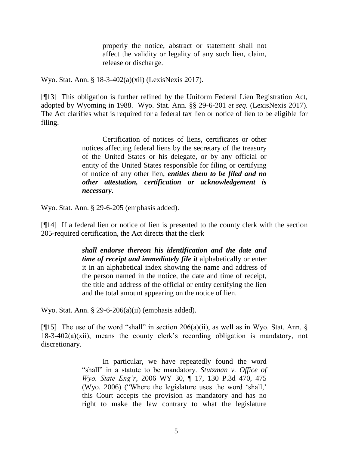properly the notice, abstract or statement shall not affect the validity or legality of any such lien, claim, release or discharge.

Wyo. Stat. Ann. § 18-3-402(a)(xii) (LexisNexis 2017).

[¶13] This obligation is further refined by the Uniform Federal Lien Registration Act, adopted by Wyoming in 1988. Wyo. Stat. Ann. §§ 29-6-201 *et seq.* (LexisNexis 2017). The Act clarifies what is required for a federal tax lien or notice of lien to be eligible for filing.

> Certification of notices of liens, certificates or other notices affecting federal liens by the secretary of the treasury of the United States or his delegate, or by any official or entity of the United States responsible for filing or certifying of notice of any other lien, *entitles them to be filed and no other attestation, certification or acknowledgement is necessary*.

Wyo. Stat. Ann. § 29-6-205 (emphasis added).

[¶14] If a federal lien or notice of lien is presented to the county clerk with the section 205-required certification, the Act directs that the clerk

> *shall endorse thereon his identification and the date and time of receipt and immediately file it* alphabetically or enter it in an alphabetical index showing the name and address of the person named in the notice, the date and time of receipt, the title and address of the official or entity certifying the lien and the total amount appearing on the notice of lien.

Wyo. Stat. Ann. § 29-6-206(a)(ii) (emphasis added).

[ $[$ [15] The use of the word "shall" in section 206(a)(ii), as well as in Wyo. Stat. Ann.  $\S$ 18-3-402(a)(xii), means the county clerk's recording obligation is mandatory, not discretionary.

> In particular, we have repeatedly found the word "shall" in a statute to be mandatory. *[Stutzman v. Office of](http://www.westlaw.com/Link/Document/FullText?findType=Y&serNum=2008690586&pubNum=0004645&originatingDoc=I03a5d712a37a11dc8dba9deb08599717&refType=RP&fi=co_pp_sp_4645_475&originationContext=document&vr=3.0&rs=cblt1.0&transitionType=DocumentItem&contextData=(sc.Keycite)#co_pp_sp_4645_475)  Wyo. State Eng'r*[, 2006 WY 30, ¶ 17, 130 P.3d 470, 475](http://www.westlaw.com/Link/Document/FullText?findType=Y&serNum=2008690586&pubNum=0004645&originatingDoc=I03a5d712a37a11dc8dba9deb08599717&refType=RP&fi=co_pp_sp_4645_475&originationContext=document&vr=3.0&rs=cblt1.0&transitionType=DocumentItem&contextData=(sc.Keycite)#co_pp_sp_4645_475)  [\(Wyo.](http://www.westlaw.com/Link/Document/FullText?findType=Y&serNum=2008690586&pubNum=0004645&originatingDoc=I03a5d712a37a11dc8dba9deb08599717&refType=RP&fi=co_pp_sp_4645_475&originationContext=document&vr=3.0&rs=cblt1.0&transitionType=DocumentItem&contextData=(sc.Keycite)#co_pp_sp_4645_475) 2006) ("Where the legislature uses the word 'shall,' this Court accepts the provision as mandatory and has no right to make the law contrary to what the legislature